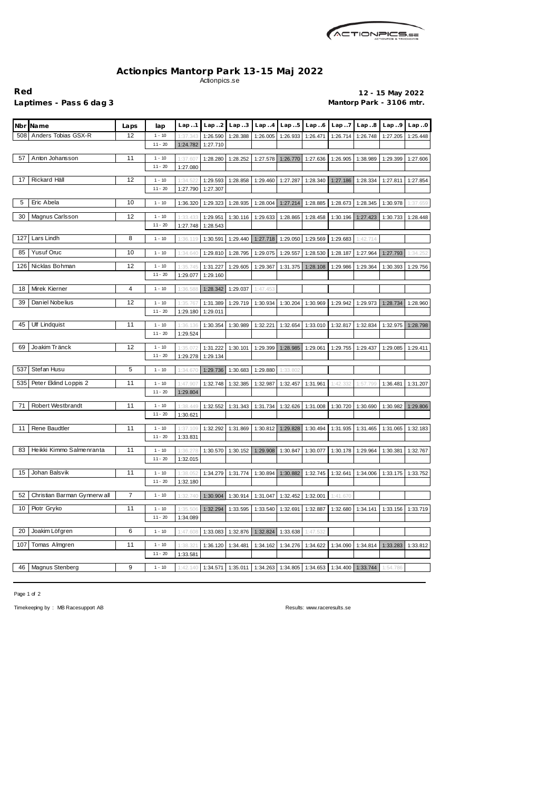

## **Actionpics Mantorp Park 13-15 Maj 2022** Actionpics.se

**Red 12 - 15 May 2022** Laptimes - Pass 6 dag 3 **Mantorp Park - 3106 mtr.** 

|     | Nbr Name                     | Laps | lap                   | Lap1                 | Lap. .2              | Lap.3    | Lap.4    | Lap.5             | Lap.6    | Lap. .7  | Lap.8                                                                                                       | Lap.9    | Lap.0    |
|-----|------------------------------|------|-----------------------|----------------------|----------------------|----------|----------|-------------------|----------|----------|-------------------------------------------------------------------------------------------------------------|----------|----------|
| 508 | Anders Tobias GSX-R          | 12   | $1 - 10$              | 1:37.34              | 1:26.590             | 1:28.388 | 1:26.005 | 1:26.933          | 1:26.471 | 1:26.714 | 1:26.748                                                                                                    | 1:27.205 | 1:25.448 |
|     |                              |      | $11 - 20$             | 1:24.782             | 1:27.710             |          |          |                   |          |          |                                                                                                             |          |          |
| 57  | Anton Johansson              | 11   | $1 - 10$              | 1:37.60              | 1:28.280             | 1:28.252 | 1:27.578 | 1:26.770          | 1:27.636 | 1:26.905 | 1:38.989                                                                                                    | 1:29.399 | 1:27.606 |
|     |                              |      | $11 - 20$             | 1:27.080             |                      |          |          |                   |          |          |                                                                                                             |          |          |
| 17  | Rickard Häll                 | 12   | $1 - 10$              | 1:34.52              | 1:29.593             | 1:28.858 | 1:29.460 | 1:27.287          | 1:28.340 | 1:27.186 | 1:28.334                                                                                                    | 1:27.811 | 1:27.854 |
|     |                              |      | $11 - 20$             | 1:27.790             | 1:27.307             |          |          |                   |          |          |                                                                                                             |          |          |
| 5   | Eric Abela                   | 10   | $1 - 10$              | 1:36.320             | 1:29.323             | 1:28.935 | 1:28.004 | 1:27.214          | 1:28.885 | 1:28.673 | 1:28.345                                                                                                    | 1:30.978 | 1:37.659 |
| 30  | Magnus Carlsson              | 12   | $1 - 10$              | 1:33.43              | 1:29.951             | 1:30.116 | 1:29.633 | 1:28.865          | 1:28.458 | 1:30.196 | 1:27.423                                                                                                    | 1:30.733 | 1:28.448 |
|     |                              |      | $11 - 20$             | 1:27.748             | 1:28.543             |          |          |                   |          |          |                                                                                                             |          |          |
| 127 | Lars Lindh                   | 8    | $1 - 10$              | 1:36.119             | 1:30.591             | 1:29.440 | 1:27.718 | 1:29.050          | 1:29.569 | 1:29.683 | 1:42.714                                                                                                    |          |          |
| 85  | <b>Yusuf Oruc</b>            | 10   | $1 - 10$              | 1:34.640             | 1:29.810             | 1:28.795 | 1:29.075 | 1:29.557          | 1:28.530 | 1:28.187 | 1:27.964                                                                                                    | 1:27.793 | 1:34.252 |
|     |                              |      |                       |                      |                      |          |          |                   |          |          |                                                                                                             |          |          |
| 126 | Nicklas Bohman               | 12   | $1 - 10$<br>$11 - 20$ | 1:35.745<br>1:29.077 | 1:31.227<br>1:29.160 | 1:29.605 | 1:29.367 | 1:31.375          | 1:28.108 | 1:29.986 | 1:29.364                                                                                                    | 1:30.393 | 1:29.756 |
|     |                              |      |                       |                      |                      |          |          |                   |          |          |                                                                                                             |          |          |
| 18  | Mirek Kierner                | 4    | $1 - 10$              | 1:36.588             | 1:28.342             | 1:29.037 | 1:47.453 |                   |          |          |                                                                                                             |          |          |
| 39  | Daniel Nobelius              | 12   | $1 - 10$              | 1:35.76              | 1:31.389             | 1:29.719 | 1:30.934 | 1:30.204          | 1:30.969 | 1:29.942 | 1:29.973                                                                                                    | 1:28.734 | 1:28.960 |
|     |                              |      | $11 - 20$             | 1:29.180             | 1:29.011             |          |          |                   |          |          |                                                                                                             |          |          |
| 45  | <b>Ulf Lindquist</b>         | 11   | $1 - 10$              | 1:36.136             | 1:30.354             | 1:30.989 | 1:32.221 | 1:32.654          | 1:33.010 | 1:32.817 | 1:32.834                                                                                                    | 1:32.975 | 1:28.798 |
|     |                              |      | $11 - 20$             | 1:29.524             |                      |          |          |                   |          |          |                                                                                                             |          |          |
| 69  | Joakim Tränck                | 12   | $1 - 10$              | 1:35.07              | 1:31.222             | 1:30.101 | 1:29.399 | 1:28.985          | 1:29.061 | 1:29.755 | 1:29.437                                                                                                    | 1:29.085 | 1:29.411 |
|     |                              |      | $11 - 20$             | 1:29.278             | 1:29.134             |          |          |                   |          |          |                                                                                                             |          |          |
| 537 | Stefan Husu                  | 5    | $1 - 10$              | 1:34.67              | 1:29.736             | 1:30.683 | 1:29.880 | 1:33.802          |          |          |                                                                                                             |          |          |
|     | 535 Peter Eklind Loppis 2    | 11   | $1 - 10$              | 1:47.90              | 1:32.748             | 1:32.385 | 1:32.987 | 1:32.457          | 1:31.961 | 1:42.332 | 1:57.799                                                                                                    | 1:36.481 | 1:31.207 |
|     |                              |      | $11 - 20$             | 1:29.804             |                      |          |          |                   |          |          |                                                                                                             |          |          |
| 71  | Robert Westbrandt            | 11   | $1 - 10$              | 1:38.449             | 1:32.552             | 1:31.343 | 1:31.734 | 1:32.626          | 1:31.008 | 1:30.720 | 1:30.690                                                                                                    | 1:30.982 | 1:29.806 |
|     |                              |      | $11 - 20$             | 1:30.621             |                      |          |          |                   |          |          |                                                                                                             |          |          |
| 11  | Rene Baudtler                | 11   | $1 - 10$              | 1:37.109             | 1:32.292             | 1:31.869 | 1:30.812 | 1:29.828          | 1:30.494 | 1:31.935 | 1:31.465                                                                                                    | 1:31.065 | 1:32.183 |
|     |                              |      | $11 - 20$             | 1:33.831             |                      |          |          |                   |          |          |                                                                                                             |          |          |
| 83  | Heikki Kimmo Salmenranta     | 11   | $1 - 10$              |                      |                      |          |          |                   |          |          | 1:36.278   1:30.570   1:30.152   1:29.908   1:30.847   1:30.077   1:30.178   1:29.964   1:30.381   1:32.767 |          |          |
|     |                              |      | $11 - 20$             | 1:32.015             |                      |          |          |                   |          |          |                                                                                                             |          |          |
| 15  | Johan Balsvik                | 11   | $1 - 10$              | 1:38.052             | 1:34.279             | 1:31.774 | 1:30.894 | 1:30.882          | 1:32.745 | 1:32.641 | 1:34.006                                                                                                    | 1:33.175 | 1:33.752 |
|     |                              |      | $11 - 20$             | 1:32.180             |                      |          |          |                   |          |          |                                                                                                             |          |          |
| 52  | Christian Barman Gynnerw all | 7    | $1 - 10$              | 1:32.740             | 1:30.904             | 1:30.914 | 1:31.047 | 1:32.452          | 1:32.001 | 1:41.670 |                                                                                                             |          |          |
| 10  | Piotr Gryko                  | 11   | $1 - 10$              | 1:35.506             | 1:32.294             | 1:33.595 | 1:33.540 | 1:32.691          | 1:32.887 | 1:32.680 | 1:34.141                                                                                                    | 1:33.156 | 1:33.719 |
|     |                              |      | $11 - 20$             | 1:34.089             |                      |          |          |                   |          |          |                                                                                                             |          |          |
| 20  | Joakim Löfgren               | 6    | $1 - 10$              | 1:47.608             | 1:33.083             | 1:32.876 | 1:32.824 | 1:33.638          | 1:47.532 |          |                                                                                                             |          |          |
| 107 | Tomas Almgren                | 11   | $1 - 10$              | 1:38.32              | 1:36.120             | 1:34.481 |          | 1:34.276          |          |          |                                                                                                             | 1:33.283 |          |
|     |                              |      | $11 - 20$             | 1:33.581             |                      |          | 1:34.162 |                   | 1:34.622 | 1:34.090 | 1:34.814                                                                                                    |          | 1:33.812 |
|     |                              |      |                       |                      |                      |          |          |                   |          |          |                                                                                                             |          |          |
| 46  | Magnus Stenberg              | 9    | $1 - 10$              | 1:42.140             | 1:34.571             | 1:35.011 |          | 1:34.263 1:34.805 | 1:34.653 | 1:34.400 | 1:33.744                                                                                                    | 1:54.786 |          |

Page 1 of 2

Timekeeping by : MB Racesupport AB Results: <www.raceresults.se>